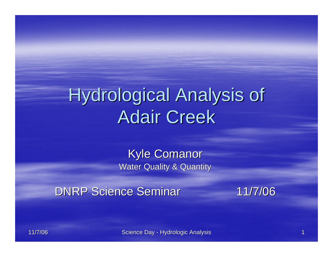# Hydrological Analysis of **Adair Creek**

**Kyle Comanor Water Quality & Quantity** 

DNRP Science Seminar 11/7/06

11/7/06 11/7/06

Science Day - Hydrologic Analysis **Hydrologic Analysis Hydrologic Analysis** 1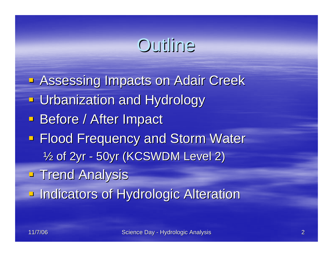### Outline

**- Assessing Impacts on Adair Creek - Urbanization and Hydrology Before / After Impact Flood Frequency and Storm Water** 1/<sub>2</sub> of 2yr - 50yr (KCSWDM Level 2) **Trend Analysis Indicators of Hydrologic Alteration**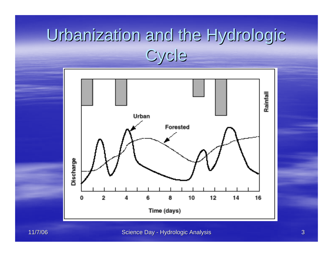## Urbanization and the Hydrologic **Cycle**



Science Day - Hydrologic Analysis **Manual Analysis** 3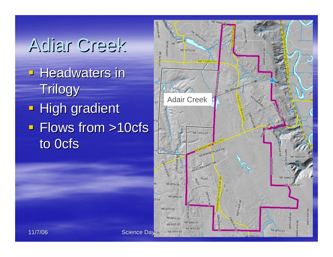# **Adiar Creek**

- **Headwaters in** Trilogy
- **High gradient**  $\blacksquare$  Flows from  $>10$ cfs to 0cfs

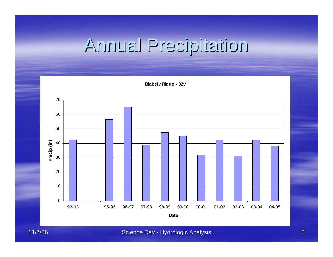# Annual Precipitation Annual Precipitation



11/7/06 11/7/06

Science Day - Hydrologic Analysis Hydrologic Analysis Hydrologic Analysis Hydrologic Analysis Hydrologic Analysis 5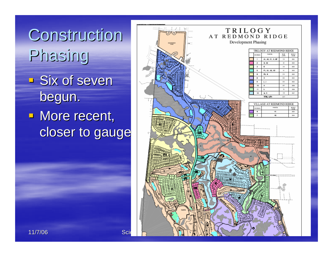

- $\overline{\phantom{a}}$  Six of seven begun.
- **More recent,** closer to gauge

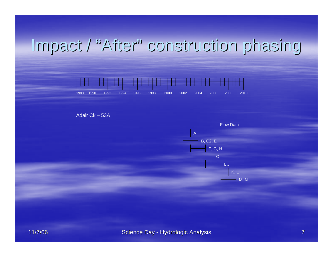#### Impact / Impact / "After" construction phasing construction phasing



Adair Ck – 53A

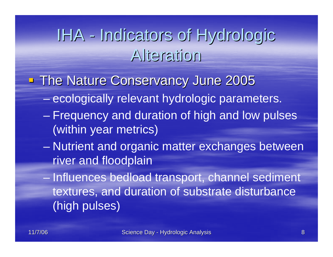## IHA - Indicators of Hydrologic Alteration Alteration

- **The Nature Conservancy June 2005** 
	- ecologically relevant hydrologic parameters.
	- Frequency and duration of high and low pulses (within year metrics)
	- $\mathcal{L}_{\mathcal{A}}$  , where  $\mathcal{L}_{\mathcal{A}}$  is the set of the set of the set of the set of the set of the set of the set of the set of the set of the set of the set of the set of the set of the set of the set of the set of the Nutrient and organic matter exchanges between river and floodplain
	- Influences bedload transport, channel sediment textures, and duration of substrate disturbance (high pulses)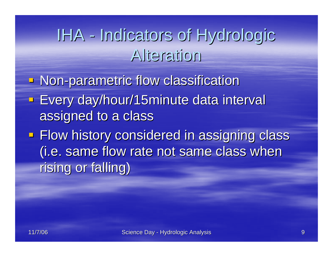## IHA - Indicators of Hydrologic Alteration Alteration

**- Non-parametric flow classification Every day/hour/15minute data interval** assigned to a class **Flow history considered in assigning class** (i.e. same flow rate not same class when (i.e. same flow rate not same class when

rising or falling)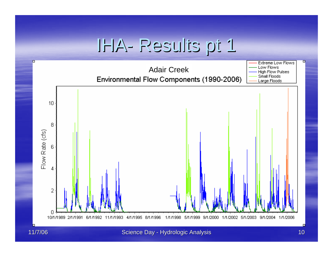#### IHA- Results pt 1 Results pt 1

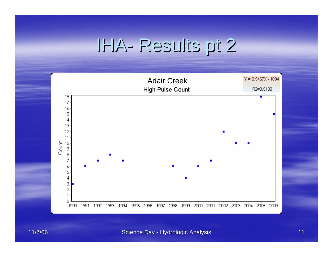#### IHA- Results pt 2 Results pt 2

![](_page_10_Figure_1.jpeg)

#### Science Day - Hydrologic Analysis Hydrologic Analysis Hydrologic Analysis Hydrologic Analysis 11